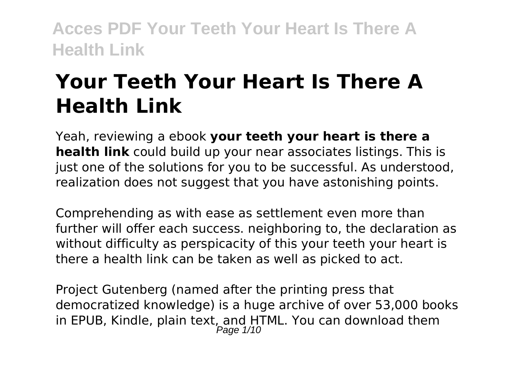# **Your Teeth Your Heart Is There A Health Link**

Yeah, reviewing a ebook **your teeth your heart is there a health link** could build up your near associates listings. This is just one of the solutions for you to be successful. As understood, realization does not suggest that you have astonishing points.

Comprehending as with ease as settlement even more than further will offer each success. neighboring to, the declaration as without difficulty as perspicacity of this your teeth your heart is there a health link can be taken as well as picked to act.

Project Gutenberg (named after the printing press that democratized knowledge) is a huge archive of over 53,000 books in EPUB, Kindle, plain text, and HTML. You can download them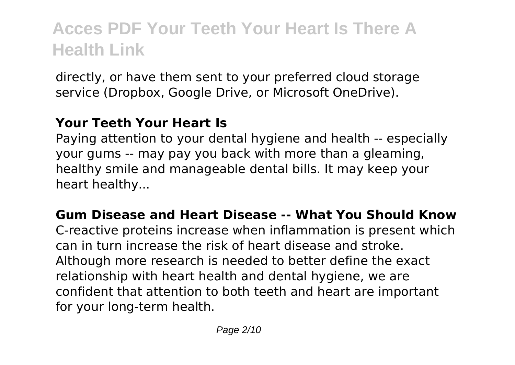directly, or have them sent to your preferred cloud storage service (Dropbox, Google Drive, or Microsoft OneDrive).

### **Your Teeth Your Heart Is**

Paying attention to your dental hygiene and health -- especially your gums -- may pay you back with more than a gleaming, healthy smile and manageable dental bills. It may keep your heart healthy...

#### **Gum Disease and Heart Disease -- What You Should Know**

C-reactive proteins increase when inflammation is present which can in turn increase the risk of heart disease and stroke. Although more research is needed to better define the exact relationship with heart health and dental hygiene, we are confident that attention to both teeth and heart are important for your long-term health.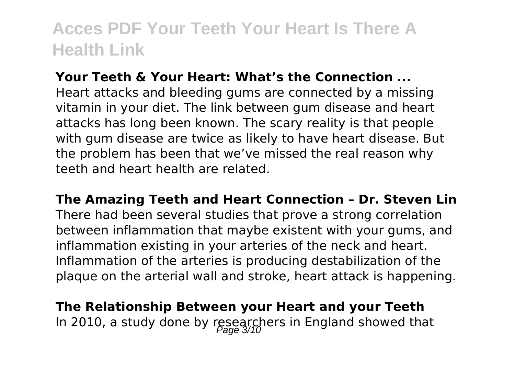#### **Your Teeth & Your Heart: What's the Connection ...**

Heart attacks and bleeding gums are connected by a missing vitamin in your diet. The link between gum disease and heart attacks has long been known. The scary reality is that people with gum disease are twice as likely to have heart disease. But the problem has been that we've missed the real reason why teeth and heart health are related.

**The Amazing Teeth and Heart Connection – Dr. Steven Lin** There had been several studies that prove a strong correlation between inflammation that maybe existent with your gums, and inflammation existing in your arteries of the neck and heart. Inflammation of the arteries is producing destabilization of the plaque on the arterial wall and stroke, heart attack is happening.

**The Relationship Between your Heart and your Teeth** In 2010, a study done by researchers in England showed that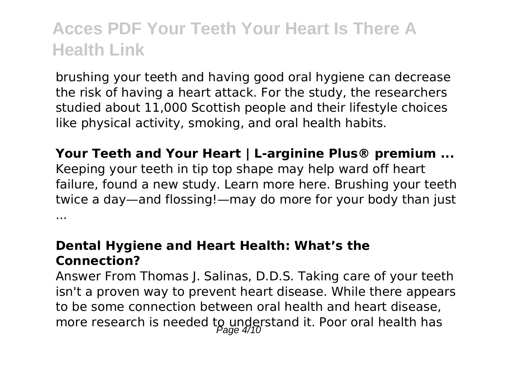brushing your teeth and having good oral hygiene can decrease the risk of having a heart attack. For the study, the researchers studied about 11,000 Scottish people and their lifestyle choices like physical activity, smoking, and oral health habits.

**Your Teeth and Your Heart | L-arginine Plus® premium ...** Keeping your teeth in tip top shape may help ward off heart failure, found a new study. Learn more here. Brushing your teeth twice a day—and flossing!—may do more for your body than just ...

#### **Dental Hygiene and Heart Health: What's the Connection?**

Answer From Thomas J. Salinas, D.D.S. Taking care of your teeth isn't a proven way to prevent heart disease. While there appears to be some connection between oral health and heart disease, more research is needed to understand it. Poor oral health has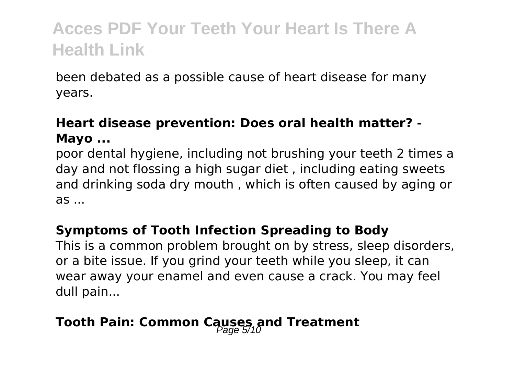been debated as a possible cause of heart disease for many years.

### **Heart disease prevention: Does oral health matter? - Mayo ...**

poor dental hygiene, including not brushing your teeth 2 times a day and not flossing a high sugar diet , including eating sweets and drinking soda dry mouth , which is often caused by aging or as ...

#### **Symptoms of Tooth Infection Spreading to Body**

This is a common problem brought on by stress, sleep disorders, or a bite issue. If you grind your teeth while you sleep, it can wear away your enamel and even cause a crack. You may feel dull pain...

### **Tooth Pain: Common Causes and Treatment**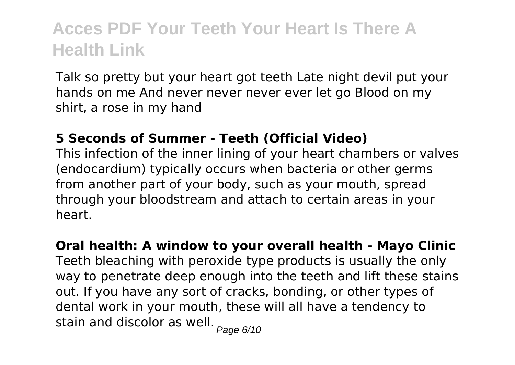Talk so pretty but your heart got teeth Late night devil put your hands on me And never never never ever let go Blood on my shirt, a rose in my hand

#### **5 Seconds of Summer - Teeth (Official Video)**

This infection of the inner lining of your heart chambers or valves (endocardium) typically occurs when bacteria or other germs from another part of your body, such as your mouth, spread through your bloodstream and attach to certain areas in your heart.

**Oral health: A window to your overall health - Mayo Clinic** Teeth bleaching with peroxide type products is usually the only way to penetrate deep enough into the teeth and lift these stains out. If you have any sort of cracks, bonding, or other types of dental work in your mouth, these will all have a tendency to stain and discolor as well.  $_{Page\ 6/10}$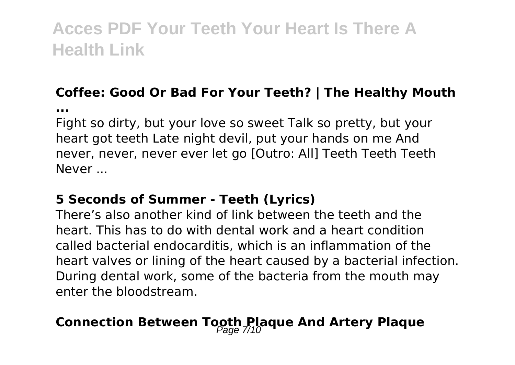### **Coffee: Good Or Bad For Your Teeth? | The Healthy Mouth**

**...**

Fight so dirty, but your love so sweet Talk so pretty, but your heart got teeth Late night devil, put your hands on me And never, never, never ever let go [Outro: All] Teeth Teeth Teeth Never ...

#### **5 Seconds of Summer - Teeth (Lyrics)**

There's also another kind of link between the teeth and the heart. This has to do with dental work and a heart condition called bacterial endocarditis, which is an inflammation of the heart valves or lining of the heart caused by a bacterial infection. During dental work, some of the bacteria from the mouth may enter the bloodstream.

### **Connection Between Tooth Plaque And Artery Plaque**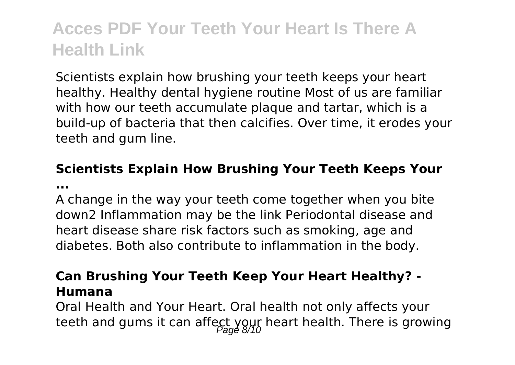Scientists explain how brushing your teeth keeps your heart healthy. Healthy dental hygiene routine Most of us are familiar with how our teeth accumulate plaque and tartar, which is a build-up of bacteria that then calcifies. Over time, it erodes your teeth and gum line.

#### **Scientists Explain How Brushing Your Teeth Keeps Your ...**

A change in the way your teeth come together when you bite down2 Inflammation may be the link Periodontal disease and heart disease share risk factors such as smoking, age and diabetes. Both also contribute to inflammation in the body.

#### **Can Brushing Your Teeth Keep Your Heart Healthy? - Humana**

Oral Health and Your Heart. Oral health not only affects your teeth and gums it can affect your heart health. There is growing